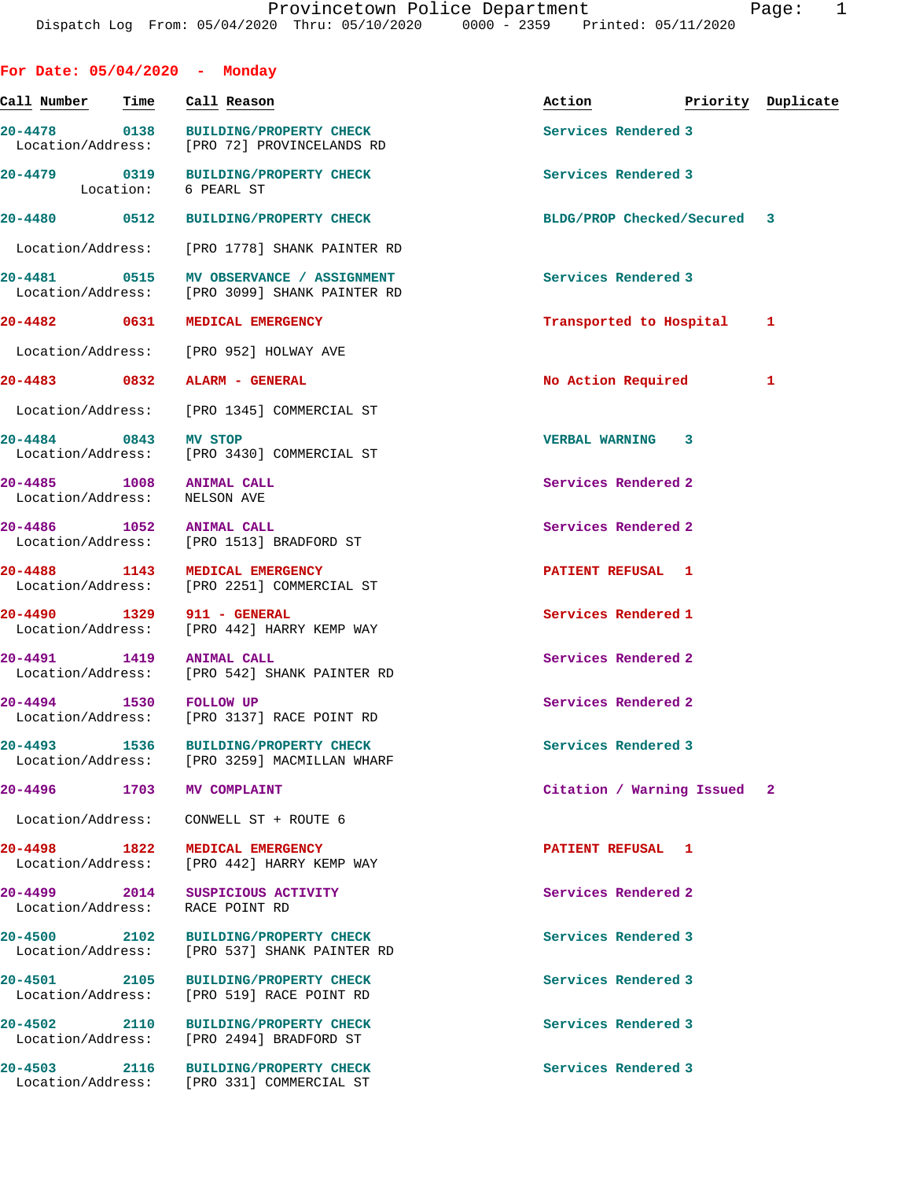|                                   |      | For Date: $05/04/2020 -$ Monday                                                     |                             |                    |
|-----------------------------------|------|-------------------------------------------------------------------------------------|-----------------------------|--------------------|
| Call Number                       | Time | Call Reason                                                                         | Action                      | Priority Duplicate |
|                                   |      | 20-4478 0138 BUILDING/PROPERTY CHECK<br>Location/Address: [PRO 72] PROVINCELANDS RD | Services Rendered 3         |                    |
|                                   |      | 20-4479 0319 BUILDING/PROPERTY CHECK<br>Location: 6 PEARL ST                        | Services Rendered 3         |                    |
| 20-4480 0512                      |      | <b>BUILDING/PROPERTY CHECK</b>                                                      | BLDG/PROP Checked/Secured 3 |                    |
|                                   |      | Location/Address: [PRO 1778] SHANK PAINTER RD                                       |                             |                    |
|                                   |      | Location/Address: [PRO 3099] SHANK PAINTER RD                                       | Services Rendered 3         |                    |
|                                   |      | 20-4482 0631 MEDICAL EMERGENCY                                                      | Transported to Hospital     | 1                  |
|                                   |      | Location/Address: [PRO 952] HOLWAY AVE                                              |                             |                    |
|                                   |      | 20-4483 0832 ALARM - GENERAL                                                        | No Action Required          | 1                  |
|                                   |      | Location/Address: [PRO 1345] COMMERCIAL ST                                          |                             |                    |
| 20-4484 0843 MV STOP              |      | Location/Address: [PRO 3430] COMMERCIAL ST                                          | <b>VERBAL WARNING 3</b>     |                    |
| 20-4485 1008<br>Location/Address: |      | <b>ANIMAL CALL</b><br>NELSON AVE                                                    | Services Rendered 2         |                    |
| 20-4486 1052 ANIMAL CALL          |      | Location/Address: [PRO 1513] BRADFORD ST                                            | Services Rendered 2         |                    |
| 20-4488 1143                      |      | MEDICAL EMERGENCY<br>Location/Address: [PRO 2251] COMMERCIAL ST                     | PATIENT REFUSAL 1           |                    |
| 20-4490 1329                      |      | 911 - GENERAL<br>Location/Address: [PRO 442] HARRY KEMP WAY                         | Services Rendered 1         |                    |
| 20-4491 1419 ANIMAL CALL          |      | Location/Address: [PRO 542] SHANK PAINTER RD                                        | Services Rendered 2         |                    |
| 20-4494 1530 FOLLOW UP            |      |                                                                                     | Services Rendered 2         |                    |
|                                   |      | Location/Address: [PRO 3137] RACE POINT RD                                          |                             |                    |
| 20-4493                           | 1536 | <b>BUILDING/PROPERTY CHECK</b><br>Location/Address: [PRO 3259] MACMILLAN WHARF      | Services Rendered 3         |                    |
| $20 - 4496$                       | 1703 | <b>MV COMPLAINT</b>                                                                 | Citation / Warning Issued 2 |                    |
| Location/Address:                 |      | CONWELL ST + ROUTE 6                                                                |                             |                    |
| 20-4498 1822<br>Location/Address: |      | MEDICAL EMERGENCY<br>[PRO 442] HARRY KEMP WAY                                       | PATIENT REFUSAL 1           |                    |
| 20-4499 2014                      |      | SUSPICIOUS ACTIVITY<br>Location/Address: RACE POINT RD                              | Services Rendered 2         |                    |
| 20-4500 2102<br>Location/Address: |      | <b>BUILDING/PROPERTY CHECK</b><br>[PRO 537] SHANK PAINTER RD                        | Services Rendered 3         |                    |
| 20-4501 2105<br>Location/Address: |      | <b>BUILDING/PROPERTY CHECK</b><br>[PRO 519] RACE POINT RD                           | Services Rendered 3         |                    |
| 20-4502 2110<br>Location/Address: |      | <b>BUILDING/PROPERTY CHECK</b><br>[PRO 2494] BRADFORD ST                            | Services Rendered 3         |                    |
|                                   |      | 20-4503 2116 BUILDING/PROPERTY CHECK<br>Location/Address: [PRO 331] COMMERCIAL ST   | Services Rendered 3         |                    |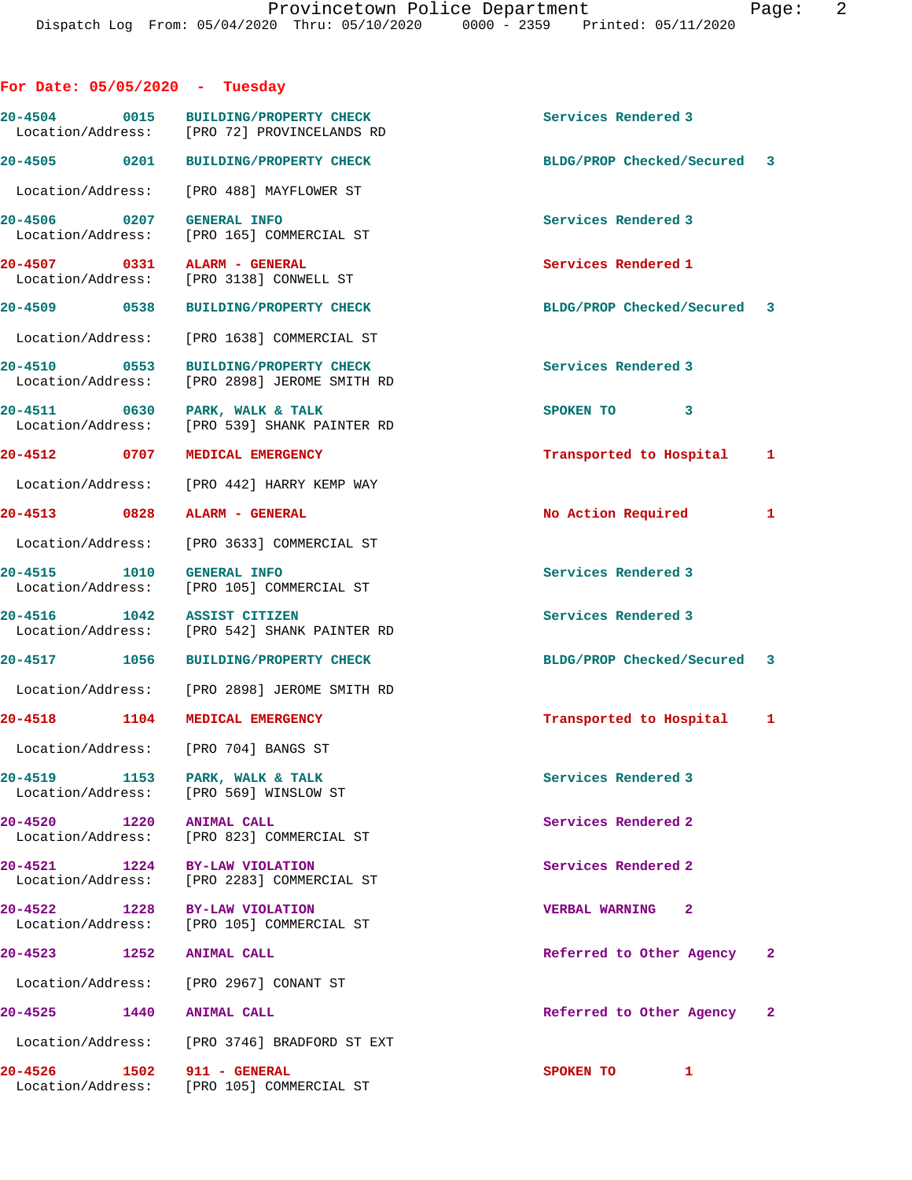| For Date: $05/05/2020 - Tuesday$          |                                                                                     |                                       |
|-------------------------------------------|-------------------------------------------------------------------------------------|---------------------------------------|
|                                           | 20-4504 0015 BUILDING/PROPERTY CHECK<br>Location/Address: [PRO 72] PROVINCELANDS RD | Services Rendered 3                   |
|                                           | 20-4505 0201 BUILDING/PROPERTY CHECK                                                | BLDG/PROP Checked/Secured 3           |
|                                           | Location/Address: [PRO 488] MAYFLOWER ST                                            |                                       |
| 20-4506 0207                              | <b>GENERAL INFO</b><br>Location/Address: [PRO 165] COMMERCIAL ST                    | Services Rendered 3                   |
|                                           | 20-4507 0331 ALARM - GENERAL<br>Location/Address: [PRO 3138] CONWELL ST             | Services Rendered 1                   |
| 20-4509 0538                              | <b>BUILDING/PROPERTY CHECK</b>                                                      | BLDG/PROP Checked/Secured 3           |
|                                           | Location/Address: [PRO 1638] COMMERCIAL ST                                          |                                       |
| 20-4510 0553                              | <b>BUILDING/PROPERTY CHECK</b><br>Location/Address: [PRO 2898] JEROME SMITH RD      | Services Rendered 3                   |
| 20-4511 0630                              | PARK, WALK & TALK<br>Location/Address: [PRO 539] SHANK PAINTER RD                   | SPOKEN TO 3                           |
| 20-4512 0707                              | MEDICAL EMERGENCY                                                                   | Transported to Hospital 1             |
|                                           | Location/Address: [PRO 442] HARRY KEMP WAY                                          |                                       |
| 20-4513 0828                              | ALARM - GENERAL                                                                     | No Action Required<br>1               |
|                                           | Location/Address: [PRO 3633] COMMERCIAL ST                                          |                                       |
| 20-4515 1010                              | <b>GENERAL INFO</b><br>Location/Address: [PRO 105] COMMERCIAL ST                    | Services Rendered 3                   |
| 20-4516 1042 ASSIST CITIZEN               | Location/Address: [PRO 542] SHANK PAINTER RD                                        | Services Rendered 3                   |
|                                           | 20-4517 1056 BUILDING/PROPERTY CHECK                                                | BLDG/PROP Checked/Secured 3           |
|                                           | Location/Address: [PRO 2898] JEROME SMITH RD                                        |                                       |
| 20-4518 1104                              | MEDICAL EMERGENCY                                                                   | Transported to Hospital 1             |
|                                           | Location/Address: [PRO 704] BANGS ST                                                |                                       |
| 20-4519 1153                              | PARK, WALK & TALK<br>Location/Address: [PRO 569] WINSLOW ST                         | Services Rendered 3                   |
| 20-4520 1220                              | <b>ANIMAL CALL</b><br>Location/Address: [PRO 823] COMMERCIAL ST                     | Services Rendered 2                   |
| 20-4521 1224                              | BY-LAW VIOLATION<br>Location/Address: [PRO 2283] COMMERCIAL ST                      | Services Rendered 2                   |
| 20-4522 1228                              | <b>BY-LAW VIOLATION</b><br>Location/Address: [PRO 105] COMMERCIAL ST                | $\mathbf{2}$<br><b>VERBAL WARNING</b> |
| 20-4523<br>1252                           | <b>ANIMAL CALL</b>                                                                  | Referred to Other Agency<br>2         |
|                                           | Location/Address: [PRO 2967] CONANT ST                                              |                                       |
| 20-4525<br>1440                           | ANIMAL CALL                                                                         | Referred to Other Agency 2            |
|                                           | Location/Address: [PRO 3746] BRADFORD ST EXT                                        |                                       |
| 20-4526 2014<br>1502<br>Location/Address: | 911 - GENERAL<br>[PRO 105] COMMERCIAL ST                                            | SPOKEN TO<br>1                        |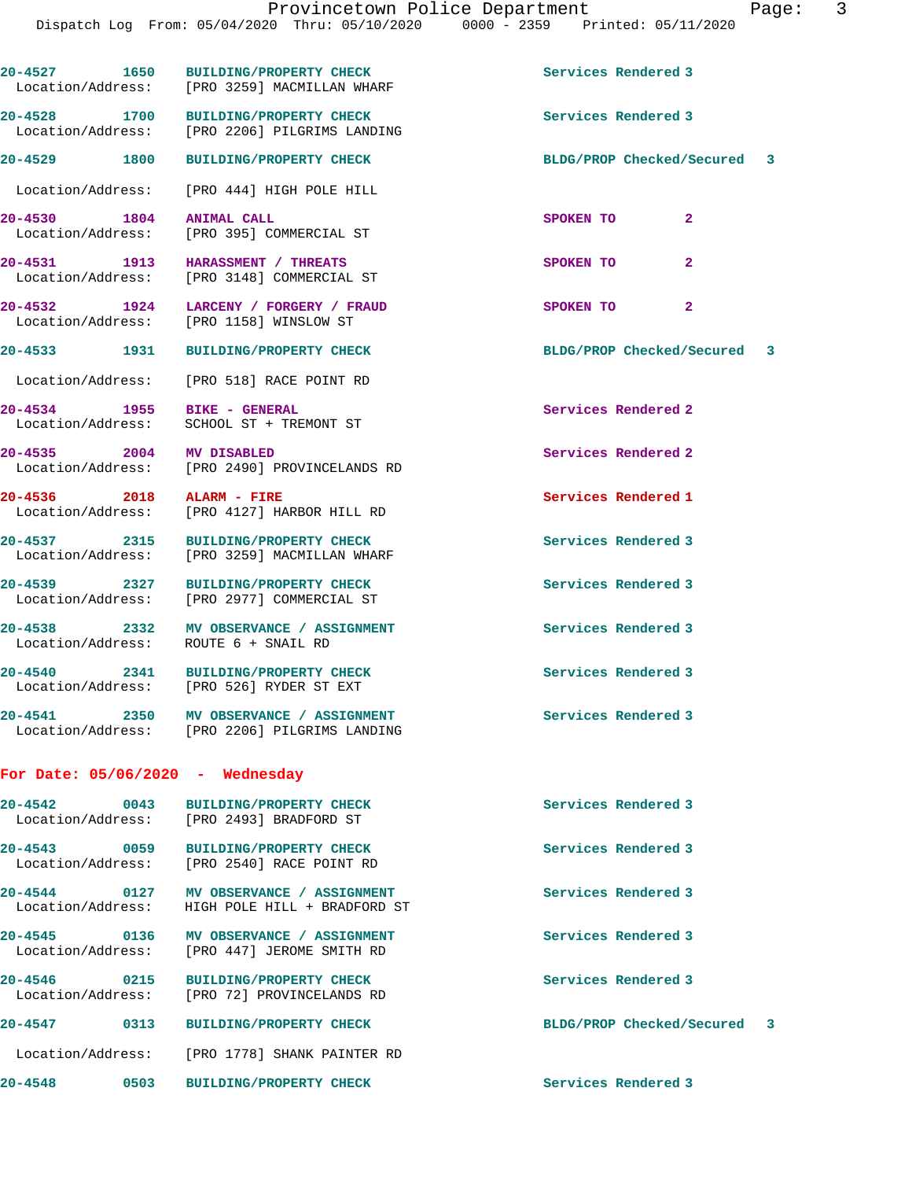| 20-4527 1650<br>Location/Address: |      | <b>BUILDING/PROPERTY CHECK</b><br>[PRO 3259] MACMILLAN WHARF                 | Services Rendered 3         |  |
|-----------------------------------|------|------------------------------------------------------------------------------|-----------------------------|--|
| 20-4528 1700<br>Location/Address: |      | <b>BUILDING/PROPERTY CHECK</b><br>[PRO 2206] PILGRIMS LANDING                | Services Rendered 3         |  |
| 20-4529 1800                      |      | <b>BUILDING/PROPERTY CHECK</b>                                               | BLDG/PROP Checked/Secured 3 |  |
| Location/Address:                 |      | [PRO 444] HIGH POLE HILL                                                     |                             |  |
| 20-4530 1804                      |      | ANIMAL CALL                                                                  | $\mathbf{2}$<br>SPOKEN TO   |  |
| Location/Address:                 |      | [PRO 395] COMMERCIAL ST                                                      |                             |  |
| 20-4531 1913                      |      | <b>HARASSMENT / THREATS</b><br>Location/Address: [PRO 3148] COMMERCIAL ST    | SPOKEN TO<br>$\mathbf{2}$   |  |
| 20-4532 1924                      |      | LARCENY / FORGERY / FRAUD                                                    | SPOKEN TO<br>$\mathbf{2}$   |  |
|                                   |      | Location/Address: [PRO 1158] WINSLOW ST                                      |                             |  |
| 20-4533 1931                      |      | <b>BUILDING/PROPERTY CHECK</b>                                               | BLDG/PROP Checked/Secured 3 |  |
| Location/Address:                 |      | [PRO 518] RACE POINT RD                                                      |                             |  |
| 20-4534 1955                      |      | BIKE - GENERAL                                                               | Services Rendered 2         |  |
| Location/Address:                 |      | SCHOOL ST + TREMONT ST                                                       |                             |  |
| 20-4535 2004                      |      | MV DISABLED                                                                  | Services Rendered 2         |  |
| Location/Address:                 |      | [PRO 2490] PROVINCELANDS RD                                                  |                             |  |
| 20-4536 2018 ALARM - FIRE         |      | [PRO 4127] HARBOR HILL RD                                                    | Services Rendered 1         |  |
| Location/Address:                 |      |                                                                              |                             |  |
| 20-4537 2315<br>Location/Address: |      | <b>BUILDING/PROPERTY CHECK</b><br>[PRO 3259] MACMILLAN WHARF                 | Services Rendered 3         |  |
|                                   |      |                                                                              | Services Rendered 3         |  |
| 20-4539 2327                      |      | <b>BUILDING/PROPERTY CHECK</b><br>Location/Address: [PRO 2977] COMMERCIAL ST |                             |  |
| 20-4538 2332                      |      | MV OBSERVANCE / ASSIGNMENT                                                   | Services Rendered 3         |  |
| Location/Address:                 |      | ROUTE 6 + SNAIL RD                                                           |                             |  |
| 20-4540 2341                      |      | <b>BUILDING/PROPERTY CHECK</b>                                               | Services Rendered 3         |  |
|                                   |      | Location/Address: [PRO 526] RYDER ST EXT                                     |                             |  |
| 20-4541                           |      | 2350 MV OBSERVANCE / ASSIGNMENT                                              | Services Rendered 3         |  |
|                                   |      | Location/Address: [PRO 2206] PILGRIMS LANDING                                |                             |  |
|                                   |      | For Date: 05/06/2020 - Wednesday                                             |                             |  |
|                                   |      | 20-4542  0043 BUILDING/PROPERTY CHECK                                        | Services Rendered 3         |  |
|                                   |      | Location/Address: [PRO 2493] BRADFORD ST                                     |                             |  |
|                                   |      | 20-4543 0059 BUILDING/PROPERTY CHECK                                         | Services Rendered 3         |  |
|                                   |      | Location/Address: [PRO 2540] RACE POINT RD                                   |                             |  |
|                                   |      | 20-4544 0127 MV OBSERVANCE / ASSIGNMENT                                      | Services Rendered 3         |  |
| Location/Address:                 |      | HIGH POLE HILL + BRADFORD ST                                                 |                             |  |
|                                   |      | 20-4545 0136 MV OBSERVANCE / ASSIGNMENT                                      | Services Rendered 3         |  |
|                                   |      | Location/Address: [PRO 447] JEROME SMITH RD                                  |                             |  |
| 20-4546                           |      | 0215 BUILDING/PROPERTY CHECK                                                 | Services Rendered 3         |  |
|                                   |      | Location/Address: [PRO 72] PROVINCELANDS RD                                  |                             |  |
| 20-4547                           | 0313 | <b>BUILDING/PROPERTY CHECK</b>                                               | BLDG/PROP Checked/Secured 3 |  |
|                                   |      | Location/Address: [PRO 1778] SHANK PAINTER RD                                |                             |  |
| 20-4548                           |      | 0503 BUILDING/PROPERTY CHECK                                                 | Services Rendered 3         |  |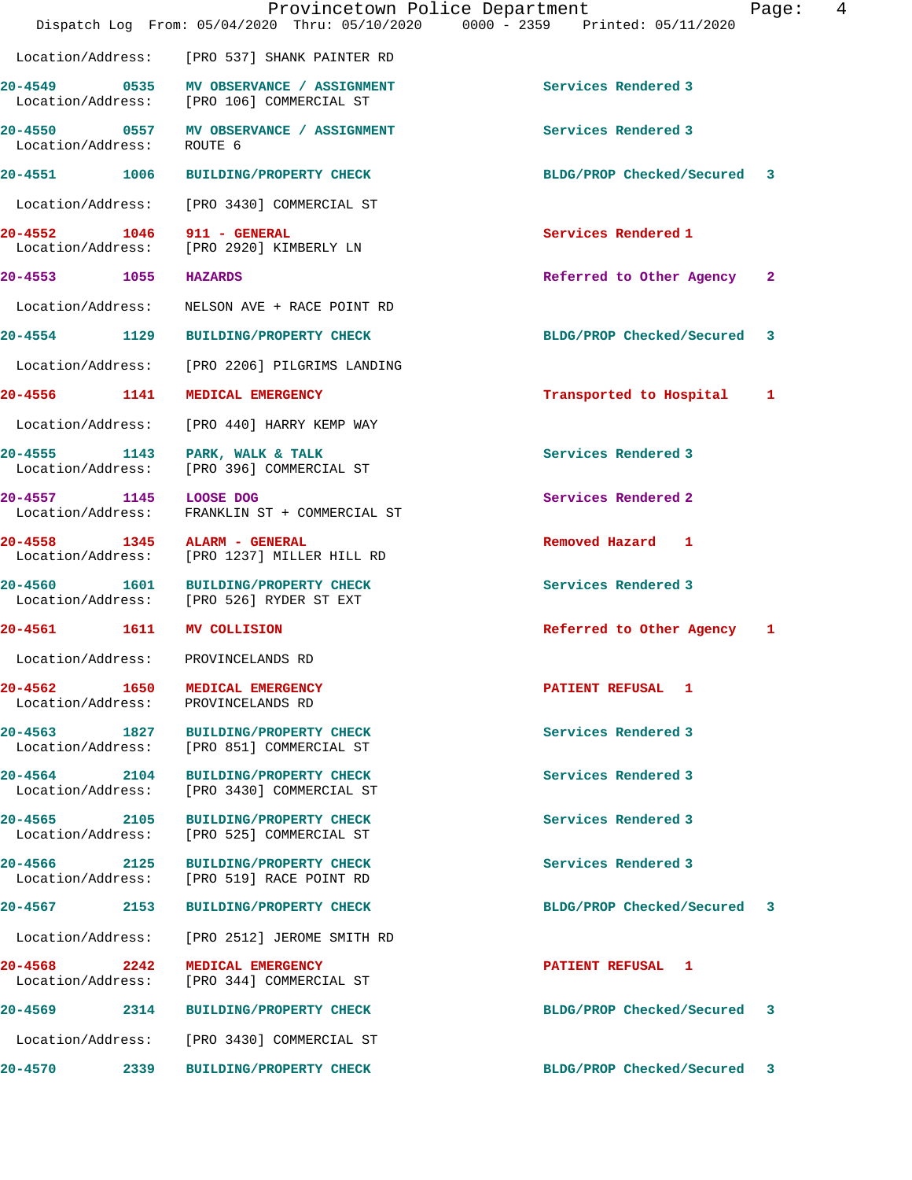|                            |      | Provincetown Police Department<br>Dispatch Log From: 05/04/2020 Thru: 05/10/2020 0000 - 2359 Printed: 05/11/2020 |                             | 4<br>Page:   |
|----------------------------|------|------------------------------------------------------------------------------------------------------------------|-----------------------------|--------------|
|                            |      | Location/Address: [PRO 537] SHANK PAINTER RD                                                                     |                             |              |
|                            |      | 20-4549 0535 MV OBSERVANCE / ASSIGNMENT<br>Location/Address: [PRO 106] COMMERCIAL ST                             | Services Rendered 3         |              |
| Location/Address:          |      | 20-4550 0557 MV OBSERVANCE / ASSIGNMENT<br>ROUTE 6                                                               | Services Rendered 3         |              |
|                            |      | 20-4551 1006 BUILDING/PROPERTY CHECK                                                                             | BLDG/PROP Checked/Secured 3 |              |
|                            |      | Location/Address: [PRO 3430] COMMERCIAL ST                                                                       |                             |              |
| 20-4552 1046 911 - GENERAL |      | Location/Address: [PRO 2920] KIMBERLY LN                                                                         | Services Rendered 1         |              |
| 20-4553 1055 HAZARDS       |      |                                                                                                                  | Referred to Other Agency    | $\mathbf{2}$ |
| Location/Address:          |      | NELSON AVE + RACE POINT RD                                                                                       |                             |              |
|                            |      | 20-4554 1129 BUILDING/PROPERTY CHECK                                                                             | BLDG/PROP Checked/Secured 3 |              |
|                            |      | Location/Address: [PRO 2206] PILGRIMS LANDING                                                                    |                             |              |
|                            |      | 20-4556 1141 MEDICAL EMERGENCY                                                                                   | Transported to Hospital     | 1            |
| Location/Address:          |      | [PRO 440] HARRY KEMP WAY                                                                                         |                             |              |
| Location/Address:          |      | 20-4555 1143 PARK, WALK & TALK<br>[PRO 396] COMMERCIAL ST                                                        | Services Rendered 3         |              |
| 20-4557 1145 LOOSE DOG     |      | Location/Address: FRANKLIN ST + COMMERCIAL ST                                                                    | Services Rendered 2         |              |
|                            |      | 20-4558 1345 ALARM - GENERAL<br>Location/Address: [PRO 1237] MILLER HILL RD                                      | Removed Hazard 1            |              |
|                            |      | 20-4560 1601 BUILDING/PROPERTY CHECK<br>Location/Address: [PRO 526] RYDER ST EXT                                 | Services Rendered 3         |              |
| 20-4561 1611               |      | <b>MV COLLISION</b>                                                                                              | Referred to Other Agency 1  |              |
| Location/Address:          |      | PROVINCELANDS RD                                                                                                 |                             |              |
|                            |      | 20-4562 1650 MEDICAL EMERGENCY<br>Location/Address: PROVINCELANDS RD                                             | PATIENT REFUSAL 1           |              |
|                            |      | 20-4563 1827 BUILDING/PROPERTY CHECK<br>Location/Address: [PRO 851] COMMERCIAL ST                                | Services Rendered 3         |              |
| Location/Address:          |      | 20-4564 2104 BUILDING/PROPERTY CHECK<br>[PRO 3430] COMMERCIAL ST                                                 | Services Rendered 3         |              |
| 20-4565 2105               |      | <b>BUILDING/PROPERTY CHECK</b><br>Location/Address: [PRO 525] COMMERCIAL ST                                      | Services Rendered 3         |              |
|                            |      | 20-4566 2125 BUILDING/PROPERTY CHECK<br>Location/Address: [PRO 519] RACE POINT RD                                | Services Rendered 3         |              |
|                            |      | 20-4567 2153 BUILDING/PROPERTY CHECK                                                                             | BLDG/PROP Checked/Secured 3 |              |
|                            |      | Location/Address: [PRO 2512] JEROME SMITH RD                                                                     |                             |              |
| 2242<br>20-4568            |      | MEDICAL EMERGENCY<br>Location/Address: [PRO 344] COMMERCIAL ST                                                   | PATIENT REFUSAL 1           |              |
|                            |      | 20-4569 2314 BUILDING/PROPERTY CHECK                                                                             | BLDG/PROP Checked/Secured   | 3            |
|                            |      | Location/Address: [PRO 3430] COMMERCIAL ST                                                                       |                             |              |
| 20-4570                    | 2339 | <b>BUILDING/PROPERTY CHECK</b>                                                                                   | BLDG/PROP Checked/Secured   | 3            |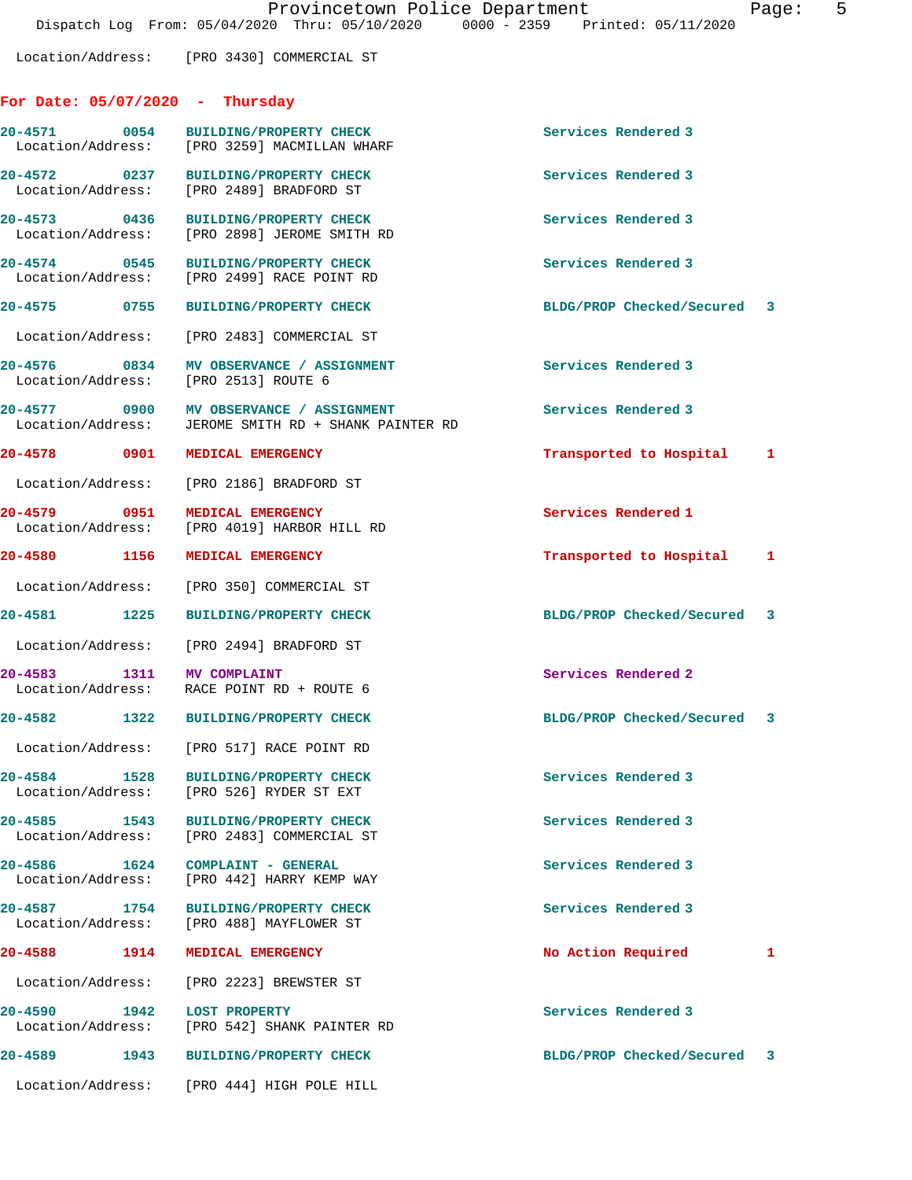Location/Address: [PRO 3430] COMMERCIAL ST

## **For Date: 05/07/2020 - Thursday**

|                                   | 20-4571 0054 BUILDING/PROPERTY CHECK<br>Location/Address: [PRO 3259] MACMILLAN WHARF | Services Rendered 3         |   |
|-----------------------------------|--------------------------------------------------------------------------------------|-----------------------------|---|
| 20-4572 0237<br>Location/Address: | <b>BUILDING/PROPERTY CHECK</b><br>[PRO 2489] BRADFORD ST                             | Services Rendered 3         |   |
| 20-4573 0436<br>Location/Address: | <b>BUILDING/PROPERTY CHECK</b><br>[PRO 2898] JEROME SMITH RD                         | Services Rendered 3         |   |
| 20-4574 0545<br>Location/Address: | <b>BUILDING/PROPERTY CHECK</b><br>[PRO 2499] RACE POINT RD                           | Services Rendered 3         |   |
| 20-4575 0755                      | <b>BUILDING/PROPERTY CHECK</b>                                                       | BLDG/PROP Checked/Secured 3 |   |
| Location/Address:                 | [PRO 2483] COMMERCIAL ST                                                             |                             |   |
| 20-4576 0834<br>Location/Address: | MV OBSERVANCE / ASSIGNMENT<br>[PRO 2513] ROUTE 6                                     | Services Rendered 3         |   |
| 20-4577 0900<br>Location/Address: | MV OBSERVANCE / ASSIGNMENT<br>JEROME SMITH RD + SHANK PAINTER RD                     | Services Rendered 3         |   |
| 20-4578 0901                      | MEDICAL EMERGENCY                                                                    | Transported to Hospital 1   |   |
|                                   | Location/Address: [PRO 2186] BRADFORD ST                                             |                             |   |
| 20-4579 0951<br>Location/Address: | MEDICAL EMERGENCY<br>[PRO 4019] HARBOR HILL RD                                       | Services Rendered 1         |   |
| 20-4580 1156                      | MEDICAL EMERGENCY                                                                    | Transported to Hospital 1   |   |
| Location/Address:                 | [PRO 350] COMMERCIAL ST                                                              |                             |   |
| 20-4581 1225                      | <b>BUILDING/PROPERTY CHECK</b>                                                       | BLDG/PROP Checked/Secured 3 |   |
| Location/Address:                 | [PRO 2494] BRADFORD ST                                                               |                             |   |
| $20 - 4583$                       | 1311 MV COMPLAINT<br>Location/Address: RACE POINT RD + ROUTE 6                       | Services Rendered 2         |   |
|                                   | 20-4582 1322 BUILDING/PROPERTY CHECK                                                 | BLDG/PROP Checked/Secured 3 |   |
|                                   | Location/Address: [PRO 517] RACE POINT RD                                            |                             |   |
|                                   | 20-4584 1528 BUILDING/PROPERTY CHECK<br>Location/Address: [PRO 526] RYDER ST EXT     | Services Rendered 3         |   |
|                                   | 20-4585 1543 BUILDING/PROPERTY CHECK<br>Location/Address: [PRO 2483] COMMERCIAL ST   | Services Rendered 3         |   |
|                                   | 20-4586 1624 COMPLAINT - GENERAL<br>Location/Address: [PRO 442] HARRY KEMP WAY       | Services Rendered 3         |   |
|                                   | 20-4587 1754 BUILDING/PROPERTY CHECK<br>Location/Address: [PRO 488] MAYFLOWER ST     | Services Rendered 3         |   |
| 20-4588 1914                      | MEDICAL EMERGENCY                                                                    | No Action Required          | 1 |
|                                   | Location/Address: [PRO 2223] BREWSTER ST                                             |                             |   |
| 20-4590 1942 LOST PROPERTY        | Location/Address: [PRO 542] SHANK PAINTER RD                                         | Services Rendered 3         |   |
|                                   | 20-4589 1943 BUILDING/PROPERTY CHECK                                                 | BLDG/PROP Checked/Secured 3 |   |
|                                   | Location/Address: [PRO 444] HIGH POLE HILL                                           |                             |   |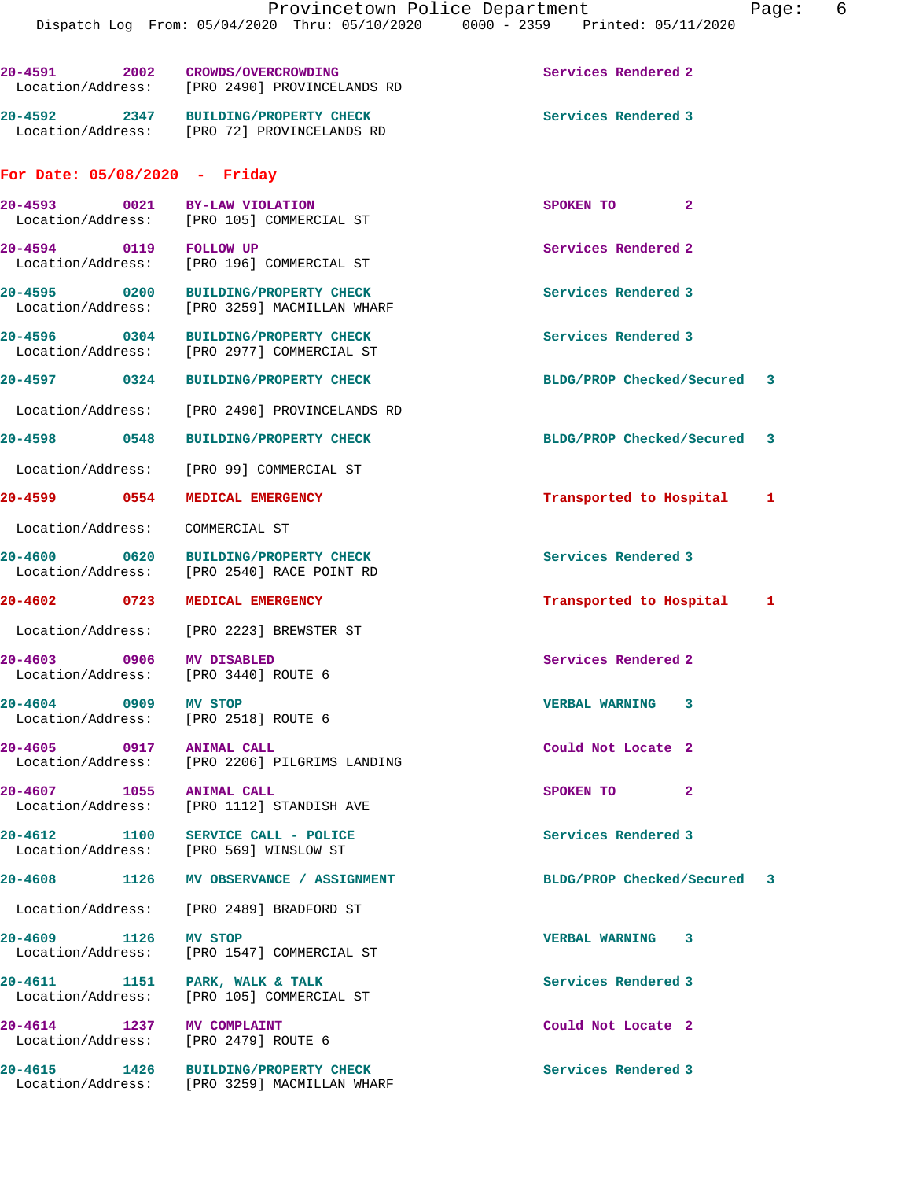**20-4591 2002 CROWDS/OVERCROWDING Services Rendered 2**  Location/Address: [PRO 2490] PROVINCELANDS RD **20-4592 2347 BUILDING/PROPERTY CHECK Services Rendered 3**  Location/Address: [PRO 72] PROVINCELANDS RD

## **For Date: 05/08/2020 - Friday**

|                                                                  | 20-4593 0021 BY-LAW VIOLATION<br>Location/Address: [PRO 105] COMMERCIAL ST           | $\mathbf{2}$<br>SPOKEN TO   |  |
|------------------------------------------------------------------|--------------------------------------------------------------------------------------|-----------------------------|--|
| 20-4594 0119 FOLLOW UP                                           | Location/Address: [PRO 196] COMMERCIAL ST                                            | Services Rendered 2         |  |
|                                                                  | 20-4595 0200 BUILDING/PROPERTY CHECK<br>Location/Address: [PRO 3259] MACMILLAN WHARF | Services Rendered 3         |  |
|                                                                  | 20-4596 0304 BUILDING/PROPERTY CHECK<br>Location/Address: [PRO 2977] COMMERCIAL ST   | Services Rendered 3         |  |
|                                                                  | 20-4597 0324 BUILDING/PROPERTY CHECK                                                 | BLDG/PROP Checked/Secured 3 |  |
|                                                                  | Location/Address: [PRO 2490] PROVINCELANDS RD                                        |                             |  |
|                                                                  | 20-4598 0548 BUILDING/PROPERTY CHECK                                                 | BLDG/PROP Checked/Secured 3 |  |
|                                                                  | Location/Address: [PRO 99] COMMERCIAL ST                                             |                             |  |
| 20-4599 0554 MEDICAL EMERGENCY                                   |                                                                                      | Transported to Hospital 1   |  |
| Location/Address: COMMERCIAL ST                                  |                                                                                      |                             |  |
|                                                                  | 20-4600 0620 BUILDING/PROPERTY CHECK<br>Location/Address: [PRO 2540] RACE POINT RD   | Services Rendered 3         |  |
| 20-4602 0723 MEDICAL EMERGENCY                                   |                                                                                      | Transported to Hospital 1   |  |
|                                                                  | Location/Address: [PRO 2223] BREWSTER ST                                             |                             |  |
| 20-4603 0906 MV DISABLED<br>Location/Address: [PRO 3440] ROUTE 6 |                                                                                      | Services Rendered 2         |  |
| 20-4604 0909 MV STOP<br>Location/Address: [PRO 2518] ROUTE 6     |                                                                                      | <b>VERBAL WARNING</b><br>3  |  |
| 20-4605 0917 ANIMAL CALL                                         | Location/Address: [PRO 2206] PILGRIMS LANDING                                        | Could Not Locate 2          |  |
| 20-4607 1055 ANIMAL CALL                                         | Location/Address: [PRO 1112] STANDISH AVE                                            | SPOKEN TO<br>2              |  |
| 1100<br>20-4612                                                  | SERVICE CALL - POLICE<br>Location/Address: [PRO 569] WINSLOW ST                      | Services Rendered 3         |  |
| 20-4608                                                          | 1126 MV OBSERVANCE / ASSIGNMENT                                                      | BLDG/PROP Checked/Secured 3 |  |
|                                                                  | Location/Address: [PRO 2489] BRADFORD ST                                             |                             |  |
| 20-4609 1126                                                     | <b>MV STOP</b><br>Location/Address: [PRO 1547] COMMERCIAL ST                         | <b>VERBAL WARNING</b><br>3  |  |
| 20-4611 1151 PARK, WALK & TALK                                   | Location/Address: [PRO 105] COMMERCIAL ST                                            | Services Rendered 3         |  |
| $20 - 4614$                                                      | 1237 MV COMPLAINT<br>Location/Address: [PRO 2479] ROUTE 6                            | Could Not Locate 2          |  |
| 20-4615 1426                                                     | <b>BUILDING/PROPERTY CHECK</b><br>Location/Address: [PRO 3259] MACMILLAN WHARF       | Services Rendered 3         |  |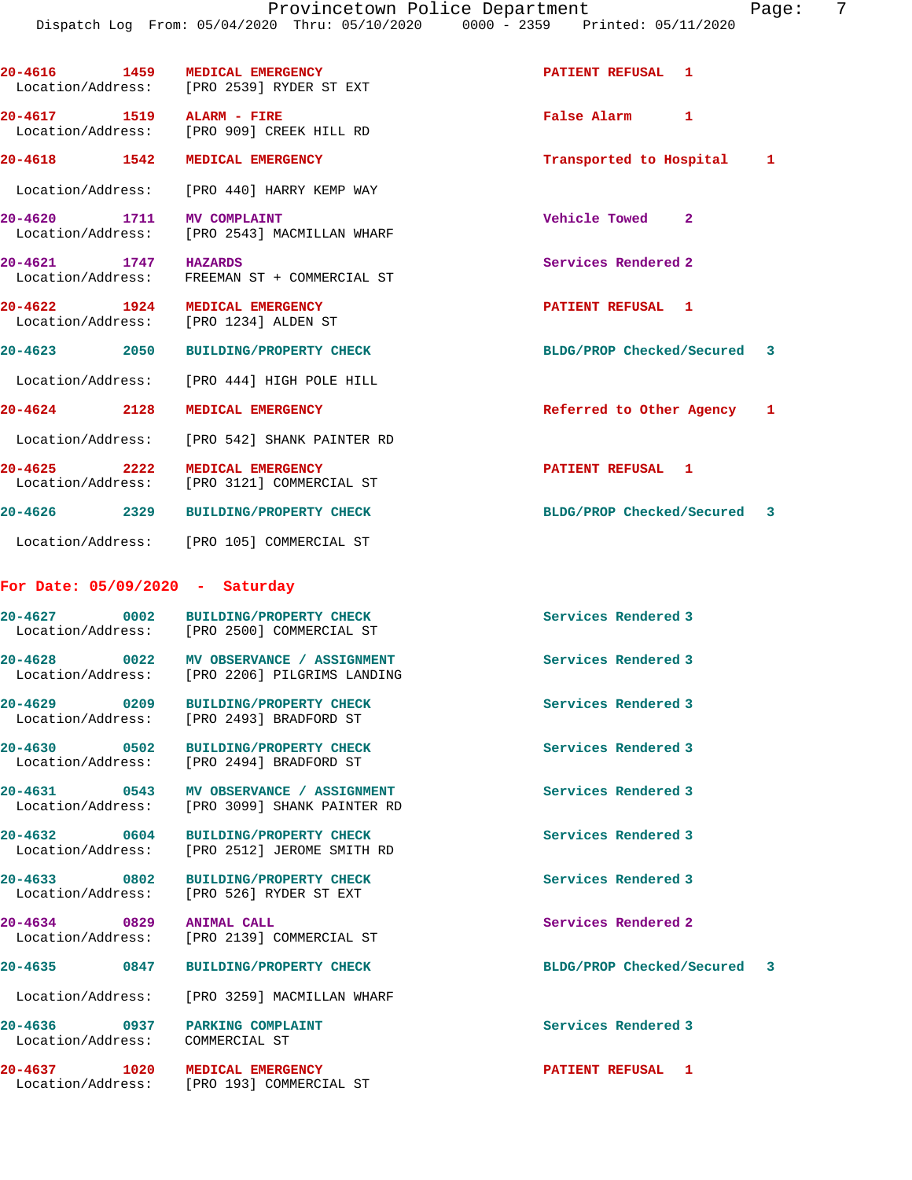| 'aqe |
|------|
|------|

| 20-4616 1459                                                      | <b>MEDICAL EMERGENCY</b><br>Location/Address: [PRO 2539] RYDER ST EXT                    | PATIENT REFUSAL 1           |  |
|-------------------------------------------------------------------|------------------------------------------------------------------------------------------|-----------------------------|--|
| 20-4617 1519 ALARM - FIRE                                         | Location/Address: [PRO 909] CREEK HILL RD                                                | False Alarm 1               |  |
| 20-4618 1542                                                      | MEDICAL EMERGENCY                                                                        | Transported to Hospital 1   |  |
|                                                                   | Location/Address: [PRO 440] HARRY KEMP WAY                                               |                             |  |
| 20-4620 1711 MV COMPLAINT                                         | Location/Address: [PRO 2543] MACMILLAN WHARF                                             | Vehicle Towed 2             |  |
| 20-4621 1747 HAZARDS<br>Location/Address:                         | FREEMAN ST + COMMERCIAL ST                                                               | Services Rendered 2         |  |
| 20-4622 1924                                                      | <b>MEDICAL EMERGENCY</b><br>Location/Address: [PRO 1234] ALDEN ST                        | PATIENT REFUSAL 1           |  |
|                                                                   | 20-4623 2050 BUILDING/PROPERTY CHECK                                                     | BLDG/PROP Checked/Secured 3 |  |
|                                                                   | Location/Address: [PRO 444] HIGH POLE HILL                                               |                             |  |
| 20-4624 2128                                                      | MEDICAL EMERGENCY                                                                        | Referred to Other Agency 1  |  |
|                                                                   | Location/Address: [PRO 542] SHANK PAINTER RD                                             |                             |  |
| 20-4625 2222                                                      | MEDICAL EMERGENCY<br>Location/Address: [PRO 3121] COMMERCIAL ST                          | <b>PATIENT REFUSAL 1</b>    |  |
| 20-4626 2329                                                      | <b>BUILDING/PROPERTY CHECK</b>                                                           | BLDG/PROP Checked/Secured 3 |  |
|                                                                   | Location/Address: [PRO 105] COMMERCIAL ST                                                |                             |  |
| For Date: $05/09/2020 - Saturday$                                 |                                                                                          |                             |  |
| 20-4627 0002                                                      | BUILDING/PROPERTY CHECK<br>Location/Address: [PRO 2500] COMMERCIAL ST                    | Services Rendered 3         |  |
|                                                                   | 20-4628 0022 MV OBSERVANCE / ASSIGNMENT<br>Location/Address: [PRO 2206] PILGRIMS LANDING | Services Rendered 3         |  |
| 20-4629 0209                                                      | <b>BUILDING/PROPERTY CHECK</b><br>Location/Address: [PRO 2493] BRADFORD ST               | Services Rendered 3         |  |
| 20-4630 0502                                                      | BUILDING/PROPERTY CHECK<br>Location/Address: [PRO 2494] BRADFORD ST                      | Services Rendered 3         |  |
|                                                                   | 20-4631 0543 MV OBSERVANCE / ASSIGNMENT<br>Location/Address: [PRO 3099] SHANK PAINTER RD | Services Rendered 3         |  |
|                                                                   | 20-4632 0604 BUILDING/PROPERTY CHECK<br>Location/Address: [PRO 2512] JEROME SMITH RD     | Services Rendered 3         |  |
|                                                                   | 20-4633 0802 BUILDING/PROPERTY CHECK<br>Location/Address: [PRO 526] RYDER ST EXT         | Services Rendered 3         |  |
| 20-4634 0829 ANIMAL CALL                                          | Location/Address: [PRO 2139] COMMERCIAL ST                                               | Services Rendered 2         |  |
|                                                                   | 20-4635 0847 BUILDING/PROPERTY CHECK                                                     | BLDG/PROP Checked/Secured 3 |  |
|                                                                   | Location/Address: [PRO 3259] MACMILLAN WHARF                                             |                             |  |
| 20-4636 0937 PARKING COMPLAINT<br>Location/Address: COMMERCIAL ST |                                                                                          | Services Rendered 3         |  |
| 20-4637 1020 MEDICAL EMERGENCY                                    | Location/Address: [PRO 193] COMMERCIAL ST                                                | PATIENT REFUSAL 1           |  |
|                                                                   |                                                                                          |                             |  |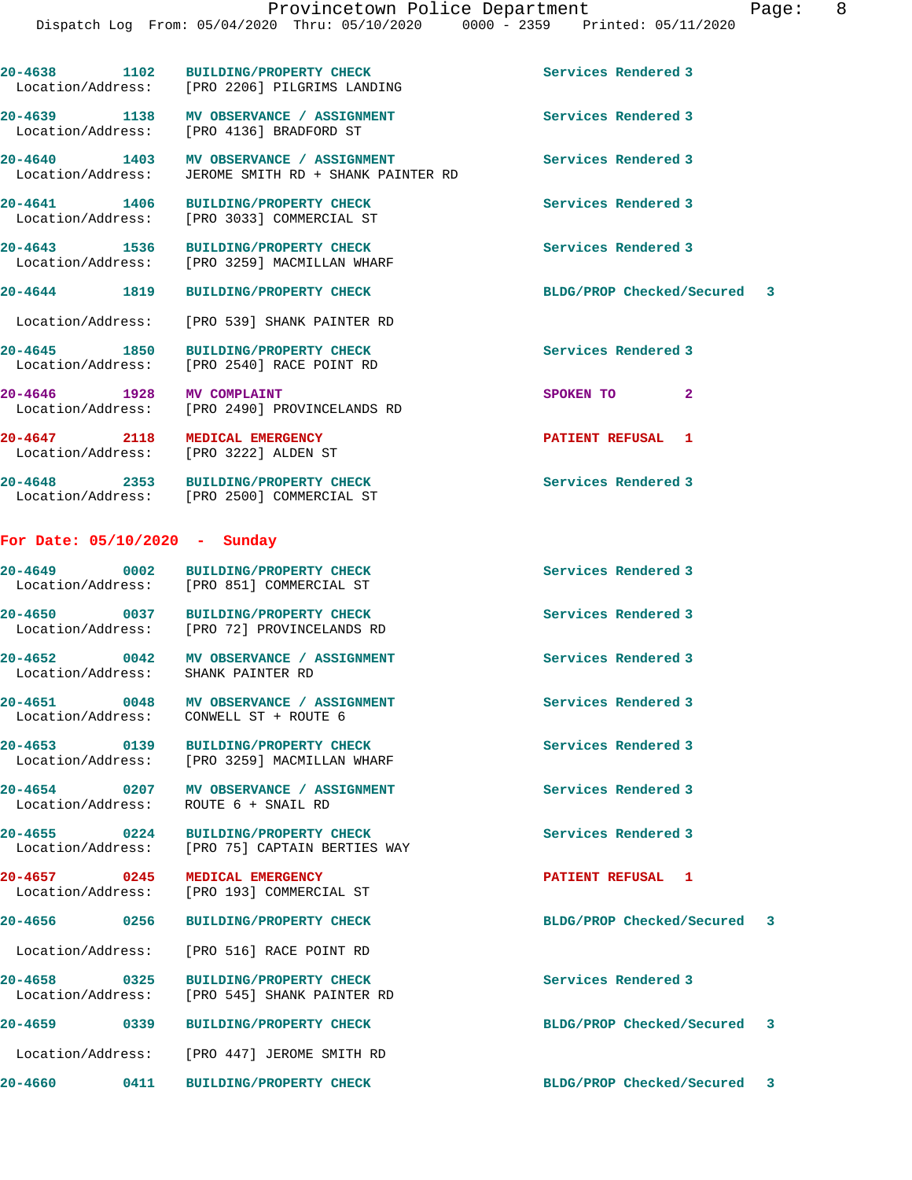|                                                       | 20-4638 1102 BUILDING/PROPERTY CHECK<br>Location/Address: [PRO 2206] PILGRIMS LANDING | Services Rendered 3         |  |
|-------------------------------------------------------|---------------------------------------------------------------------------------------|-----------------------------|--|
|                                                       | 20-4639 1138 MV OBSERVANCE / ASSIGNMENT<br>Location/Address: [PRO 4136] BRADFORD ST   | Services Rendered 3         |  |
| 20-4640 1403<br>Location/Address:                     | MV OBSERVANCE / ASSIGNMENT<br>JEROME SMITH RD + SHANK PAINTER RD                      | Services Rendered 3         |  |
| 20-4641 1406                                          | <b>BUILDING/PROPERTY CHECK</b><br>Location/Address: [PRO 3033] COMMERCIAL ST          | Services Rendered 3         |  |
| 20-4643 1536                                          | BUILDING/PROPERTY CHECK<br>Location/Address: [PRO 3259] MACMILLAN WHARF               | Services Rendered 3         |  |
| 20-4644 1819                                          | <b>BUILDING/PROPERTY CHECK</b>                                                        | BLDG/PROP Checked/Secured 3 |  |
|                                                       | Location/Address: [PRO 539] SHANK PAINTER RD                                          |                             |  |
| 20-4645 1850<br>Location/Address:                     | <b>BUILDING/PROPERTY CHECK</b><br>[PRO 2540] RACE POINT RD                            | Services Rendered 3         |  |
| 20-4646 1928                                          | <b>MV COMPLAINT</b><br>Location/Address: [PRO 2490] PROVINCELANDS RD                  | SPOKEN TO<br>$\overline{2}$ |  |
| 20-4647 2118<br>Location/Address: [PRO 3222] ALDEN ST | <b>MEDICAL EMERGENCY</b>                                                              | PATIENT REFUSAL 1           |  |
|                                                       | 20-4648 2353 BUILDING/PROPERTY CHECK<br>Location/Address: [PRO 2500] COMMERCIAL ST    | Services Rendered 3         |  |
| For Date: $05/10/2020$ - Sunday                       |                                                                                       |                             |  |
|                                                       | 20-4649 0002 BUILDING/PROPERTY CHECK<br>Location/Address: [PRO 851] COMMERCIAL ST     | Services Rendered 3         |  |
| $20 - 4650$<br>0037                                   | <b>BUILDING/PROPERTY CHECK</b>                                                        | Services Rendered 3         |  |

Location/Address: [PRO 72] PROVINCELANDS RD

**20-4652 0042 MV OBSERVANCE / ASSIGNMENT Services Rendered 3**  Location/Address: SHANK PAINTER RD

20-4651 0048 MV OBSERVANCE / ASSIGNMENT **Services Rendered 3** Location/Address: CONWELL ST + ROUTE 6

**20-4653 0139 BUILDING/PROPERTY CHECK Services Rendered 3**  Location/Address: [PRO 3259] MACMILLAN WHARF

**20-4654 0207 MV OBSERVANCE / ASSIGNMENT Services Rendered 3**  Location/Address: ROUTE 6 + SNAIL RD

**20-4655 0224 BUILDING/PROPERTY CHECK Services Rendered 3**  Location/Address: [PRO 75] CAPTAIN BERTIES WAY

**20-4657 0245 MEDICAL EMERGENCY PATIENT REFUSAL 1**  Location/Address: [PRO 193] COMMERCIAL ST

Location/Address: [PRO 516] RACE POINT RD

**20-4658 0325 BUILDING/PROPERTY CHECK Services Rendered 3**  Location/Address: [PRO 545] SHANK PAINTER RD

**20-4659 0339 BUILDING/PROPERTY CHECK BLDG/PROP Checked/Secured 3** Location/Address: [PRO 447] JEROME SMITH RD

**20-4656 0256 BUILDING/PROPERTY CHECK BLDG/PROP Checked/Secured 3**

**20-4660 0411 BUILDING/PROPERTY CHECK BLDG/PROP Checked/Secured 3**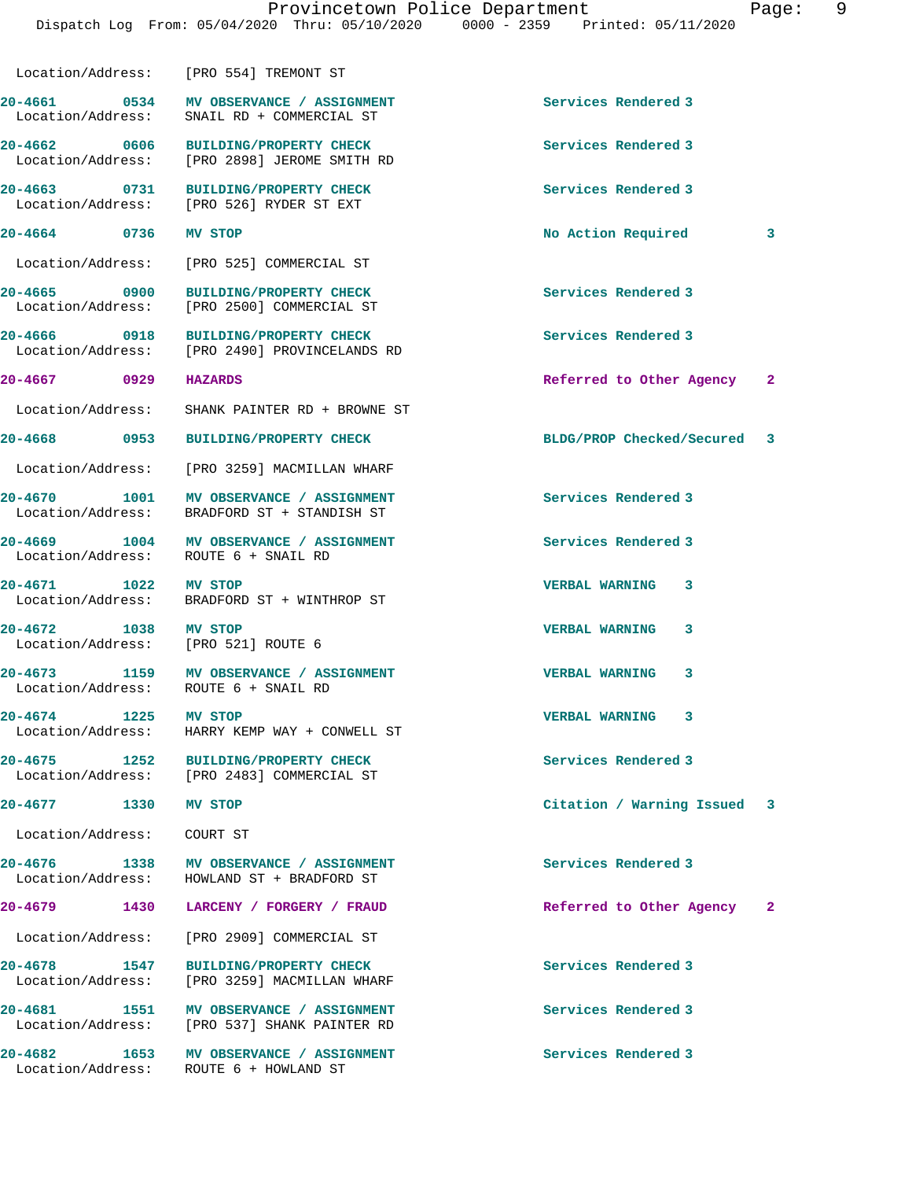|                                                      | Location/Address: [PRO 554] TREMONT ST                                                  |                             |                         |
|------------------------------------------------------|-----------------------------------------------------------------------------------------|-----------------------------|-------------------------|
| Location/Address:                                    | 20-4661 0534 MV OBSERVANCE / ASSIGNMENT<br>SNAIL RD + COMMERCIAL ST                     | Services Rendered 3         |                         |
| 20-4662 0606<br>Location/Address:                    | <b>BUILDING/PROPERTY CHECK</b><br>[PRO 2898] JEROME SMITH RD                            | Services Rendered 3         |                         |
| 20-4663 0731                                         | <b>BUILDING/PROPERTY CHECK</b><br>Location/Address: [PRO 526] RYDER ST EXT              | Services Rendered 3         |                         |
| 20-4664 0736                                         | MV STOP                                                                                 | No Action Required          | 3                       |
|                                                      | Location/Address: [PRO 525] COMMERCIAL ST                                               |                             |                         |
| 20-4665 0900                                         | <b>BUILDING/PROPERTY CHECK</b><br>Location/Address: [PRO 2500] COMMERCIAL ST            | Services Rendered 3         |                         |
| 20-4666 0918                                         | BUILDING/PROPERTY CHECK<br>Location/Address: [PRO 2490] PROVINCELANDS RD                | Services Rendered 3         |                         |
| 20-4667 0929                                         | <b>HAZARDS</b>                                                                          | Referred to Other Agency    | $\overline{\mathbf{2}}$ |
| Location/Address:                                    | SHANK PAINTER RD + BROWNE ST                                                            |                             |                         |
| 20-4668 0953                                         | <b>BUILDING/PROPERTY CHECK</b>                                                          | BLDG/PROP Checked/Secured 3 |                         |
| Location/Address:                                    | [PRO 3259] MACMILLAN WHARF                                                              |                             |                         |
| Location/Address:                                    | 20-4670 1001 MV OBSERVANCE / ASSIGNMENT<br>BRADFORD ST + STANDISH ST                    | Services Rendered 3         |                         |
| 20-4669 1004<br>Location/Address:                    | MV OBSERVANCE / ASSIGNMENT<br>ROUTE 6 + SNAIL RD                                        | Services Rendered 3         |                         |
| 20-4671 1022                                         | MV STOP<br>Location/Address: BRADFORD ST + WINTHROP ST                                  | VERBAL WARNING 3            |                         |
| 20-4672 1038<br>Location/Address:                    | MV STOP<br>FRO 5211 ROUTE 6                                                             | <b>VERBAL WARNING</b><br>3  |                         |
| 20-4673 1159<br>Location/Address: ROUTE 6 + SNAIL RD | MV OBSERVANCE / ASSIGNMENT                                                              | <b>VERBAL WARNING</b><br>3  |                         |
| 20-4674<br>1225                                      | MV STOP<br>Location/Address: HARRY KEMP WAY + CONWELL ST                                | <b>VERBAL WARNING</b><br>3  |                         |
| $20 - 4675$<br>1252                                  | <b>BUILDING/PROPERTY CHECK</b><br>Location/Address: [PRO 2483] COMMERCIAL ST            | Services Rendered 3         |                         |
| 20-4677 1330 MV STOP                                 |                                                                                         | Citation / Warning Issued 3 |                         |
| Location/Address: COURT ST                           |                                                                                         |                             |                         |
|                                                      | 20-4676 1338 MV OBSERVANCE / ASSIGNMENT<br>Location/Address: HOWLAND ST + BRADFORD ST   | Services Rendered 3         |                         |
| 20-4679 1430                                         | LARCENY / FORGERY / FRAUD                                                               | Referred to Other Agency    | $\overline{\mathbf{2}}$ |
| Location/Address:                                    | [PRO 2909] COMMERCIAL ST                                                                |                             |                         |
| 20-4678 1547                                         | <b>BUILDING/PROPERTY CHECK</b><br>Location/Address: [PRO 3259] MACMILLAN WHARF          | Services Rendered 3         |                         |
|                                                      | 20-4681 1551 MV OBSERVANCE / ASSIGNMENT<br>Location/Address: [PRO 537] SHANK PAINTER RD | Services Rendered 3         |                         |
|                                                      | 20-4682 1653 MV OBSERVANCE / ASSIGNMENT<br>Location/Address: ROUTE 6 + HOWLAND ST       | Services Rendered 3         |                         |